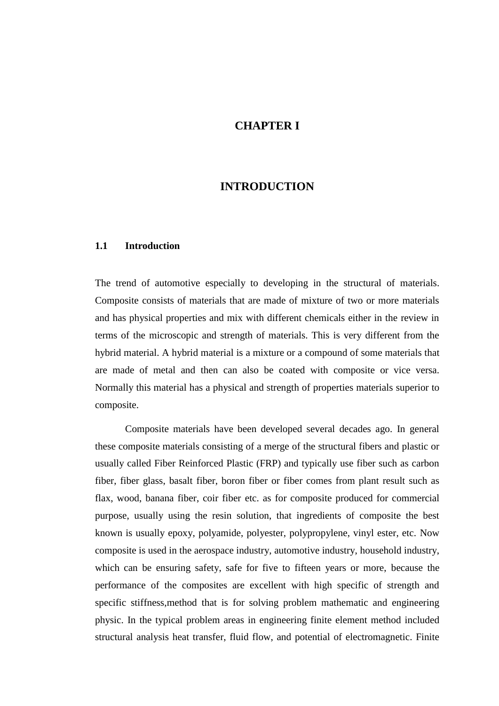# **CHAPTER I**

# **INTRODUCTION**

#### **1.1 Introduction**

The trend of automotive especially to developing in the structural of materials. Composite consists of materials that are made of mixture of two or more materials and has physical properties and mix with different chemicals either in the review in terms of the microscopic and strength of materials. This is very different from the hybrid material. A hybrid material is a mixture or a compound of some materials that are made of metal and then can also be coated with composite or vice versa. Normally this material has a physical and strength of properties materials superior to composite.

Composite materials have been developed several decades ago. In general these composite materials consisting of a merge of the structural fibers and plastic or usually called Fiber Reinforced Plastic (FRP) and typically use fiber such as carbon fiber, fiber glass, basalt fiber, boron fiber or fiber comes from plant result such as flax, wood, banana fiber, coir fiber etc. as for composite produced for commercial purpose, usually using the resin solution, that ingredients of composite the best known is usually epoxy, polyamide, polyester, polypropylene, vinyl ester, etc. Now composite is used in the aerospace industry, automotive industry, household industry, which can be ensuring safety, safe for five to fifteen years or more, because the performance of the composites are excellent with high specific of strength and specific stiffness,method that is for solving problem mathematic and engineering physic. In the typical problem areas in engineering finite element method included structural analysis heat transfer, fluid flow, and potential of electromagnetic. Finite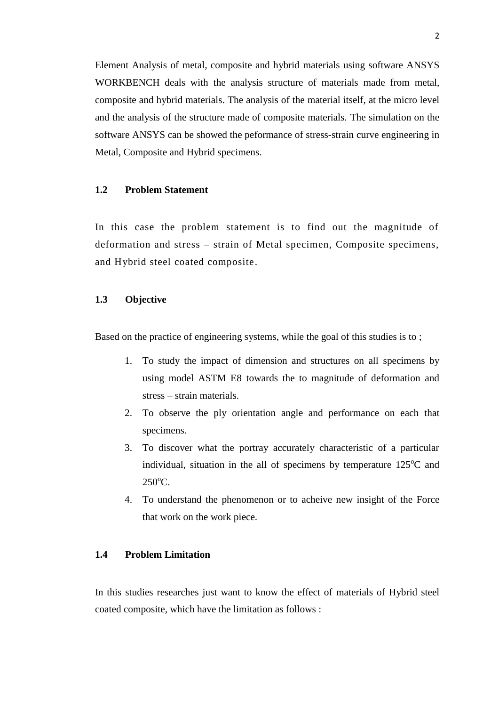Element Analysis of metal, composite and hybrid materials using software ANSYS WORKBENCH deals with the analysis structure of materials made from metal, composite and hybrid materials. The analysis of the material itself, at the micro level and the analysis of the structure made of composite materials. The simulation on the software ANSYS can be showed the peformance of stress-strain curve engineering in Metal, Composite and Hybrid specimens.

### **1.2 Problem Statement**

In this case the problem statement is to find out the magnitude of deformation and stress – strain of Metal specimen, Composite specimens, and Hybrid steel coated composite.

# **1.3 Objective**

Based on the practice of engineering systems, while the goal of this studies is to ;

- 1. To study the impact of dimension and structures on all specimens by using model ASTM E8 towards the to magnitude of deformation and stress – strain materials.
- 2. To observe the ply orientation angle and performance on each that specimens.
- 3. To discover what the portray accurately characteristic of a particular individual, situation in the all of specimens by temperature  $125^{\circ}$ C and  $250^{\circ}$ C.
- 4. To understand the phenomenon or to acheive new insight of the Force that work on the work piece.

# **1.4 Problem Limitation**

In this studies researches just want to know the effect of materials of Hybrid steel coated composite, which have the limitation as follows :